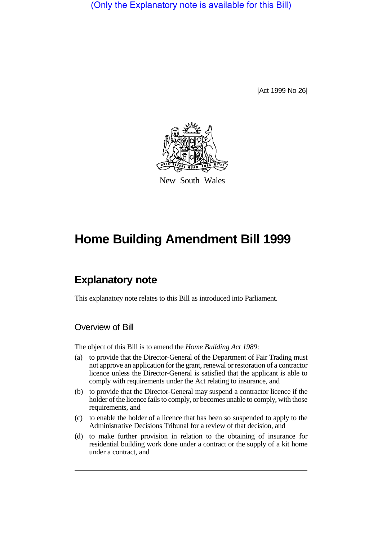(Only the Explanatory note is available for this Bill)

[Act 1999 No 26]



New South Wales

# **Home Building Amendment Bill 1999**

# **Explanatory note**

This explanatory note relates to this Bill as introduced into Parliament.

### Overview of Bill

The object of this Bill is to amend the *Home Building Act 1989*:

- (a) to provide that the Director-General of the Department of Fair Trading must not approve an application for the grant, renewal or restoration of a contractor licence unless the Director-General is satisfied that the applicant is able to comply with requirements under the Act relating to insurance, and
- (b) to provide that the Director-General may suspend a contractor licence if the holder of the licence fails to comply, or becomes unable to comply, with those requirements, and
- (c) to enable the holder of a licence that has been so suspended to apply to the Administrative Decisions Tribunal for a review of that decision, and
- (d) to make further provision in relation to the obtaining of insurance for residential building work done under a contract or the supply of a kit home under a contract, and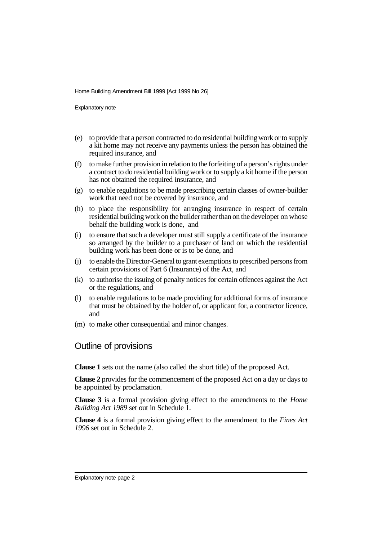Explanatory note

- (e) to provide that a person contracted to do residential building work or to supply a kit home may not receive any payments unless the person has obtained the required insurance, and
- (f) to make further provision in relation to the forfeiting of a person's rights under a contract to do residential building work or to supply a kit home if the person has not obtained the required insurance, and
- (g) to enable regulations to be made prescribing certain classes of owner-builder work that need not be covered by insurance, and
- (h) to place the responsibility for arranging insurance in respect of certain residential building work on the builder rather than on the developer on whose behalf the building work is done, and
- (i) to ensure that such a developer must still supply a certificate of the insurance so arranged by the builder to a purchaser of land on which the residential building work has been done or is to be done, and
- (j) to enable the Director-General to grant exemptions to prescribed persons from certain provisions of Part 6 (Insurance) of the Act, and
- (k) to authorise the issuing of penalty notices for certain offences against the Act or the regulations, and
- (l) to enable regulations to be made providing for additional forms of insurance that must be obtained by the holder of, or applicant for, a contractor licence, and
- (m) to make other consequential and minor changes.

### Outline of provisions

**Clause 1** sets out the name (also called the short title) of the proposed Act.

**Clause 2** provides for the commencement of the proposed Act on a day or days to be appointed by proclamation.

**Clause 3** is a formal provision giving effect to the amendments to the *Home Building Act 1989* set out in Schedule 1.

**Clause 4** is a formal provision giving effect to the amendment to the *Fines Act 1996* set out in Schedule 2.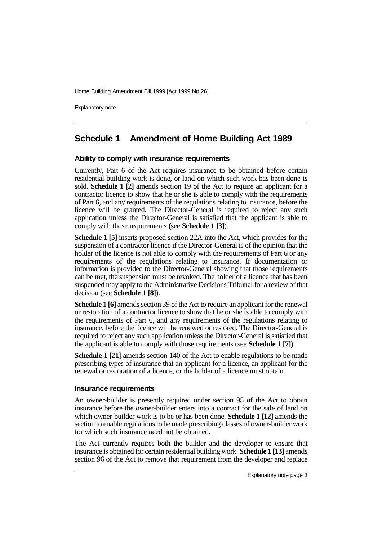Explanatory note

## **Schedule 1 Amendment of Home Building Act 1989**

#### **Ability to comply with insurance requirements**

Currently, Part 6 of the Act requires insurance to be obtained before certain residential building work is done, or land on which such work has been done is sold. **Schedule 1 [2]** amends section 19 of the Act to require an applicant for a contractor licence to show that he or she is able to comply with the requirements of Part 6, and any requirements of the regulations relating to insurance, before the licence will be granted. The Director-General is required to reject any such application unless the Director-General is satisfied that the applicant is able to comply with those requirements (see **Schedule 1 [3]**).

**Schedule 1 [5]** inserts proposed section 22A into the Act, which provides for the suspension of a contractor licence if the Director-General is of the opinion that the holder of the licence is not able to comply with the requirements of Part 6 or any requirements of the regulations relating to insurance. If documentation or information is provided to the Director-General showing that those requirements can be met, the suspension must be revoked. The holder of a licence that has been suspended may apply to the Administrative Decisions Tribunal for a review of that decision (see **Schedule 1 [8]**).

**Schedule 1 [6]** amends section 39 of the Act to require an applicant for the renewal or restoration of a contractor licence to show that he or she is able to comply with the requirements of Part 6, and any requirements of the regulations relating to insurance, before the licence will be renewed or restored. The Director-General is required to reject any such application unless the Director-General is satisfied that the applicant is able to comply with those requirements (see **Schedule 1 [7]**).

**Schedule 1 [21]** amends section 140 of the Act to enable regulations to be made prescribing types of insurance that an applicant for a licence, an applicant for the renewal or restoration of a licence, or the holder of a licence must obtain.

#### **Insurance requirements**

An owner-builder is presently required under section 95 of the Act to obtain insurance before the owner-builder enters into a contract for the sale of land on which owner-builder work is to be or has been done. **Schedule 1 [12]** amends the section to enable regulations to be made prescribing classes of owner-builder work for which such insurance need not be obtained.

The Act currently requires both the builder and the developer to ensure that insurance is obtained for certain residential building work. **Schedule 1 [13]** amends section 96 of the Act to remove that requirement from the developer and replace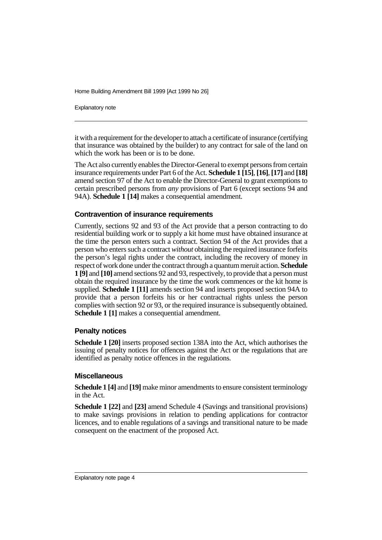Explanatory note

it with a requirement for the developer to attach a certificate of insurance (certifying that insurance was obtained by the builder) to any contract for sale of the land on which the work has been or is to be done.

The Act also currently enables the Director-General to exempt persons from certain insurance requirements under Part 6 of the Act. **Schedule 1 [15]**, **[16]**, **[17]** and **[18]** amend section 97 of the Act to enable the Director-General to grant exemptions to certain prescribed persons from *any* provisions of Part 6 (except sections 94 and 94A). **Schedule 1 [14]** makes a consequential amendment.

#### **Contravention of insurance requirements**

Currently, sections 92 and 93 of the Act provide that a person contracting to do residential building work or to supply a kit home must have obtained insurance at the time the person enters such a contract. Section 94 of the Act provides that a person who enters such a contract *without* obtaining the required insurance forfeits the person's legal rights under the contract, including the recovery of money in respect of work done under the contract through a quantum meruit action. **Schedule 1 [9]** and **[10]** amend sections 92 and 93, respectively, to provide that a person must obtain the required insurance by the time the work commences or the kit home is supplied. **Schedule 1 [11]** amends section 94 and inserts proposed section 94A to provide that a person forfeits his or her contractual rights unless the person complies with section 92 or 93, or the required insurance is subsequently obtained. **Schedule 1 [1]** makes a consequential amendment.

#### **Penalty notices**

**Schedule 1 [20]** inserts proposed section 138A into the Act, which authorises the issuing of penalty notices for offences against the Act or the regulations that are identified as penalty notice offences in the regulations.

#### **Miscellaneous**

**Schedule 1 [4]** and **[19]** make minor amendments to ensure consistent terminology in the Act.

**Schedule 1 [22]** and **[23]** amend Schedule 4 (Savings and transitional provisions) to make savings provisions in relation to pending applications for contractor licences, and to enable regulations of a savings and transitional nature to be made consequent on the enactment of the proposed Act.